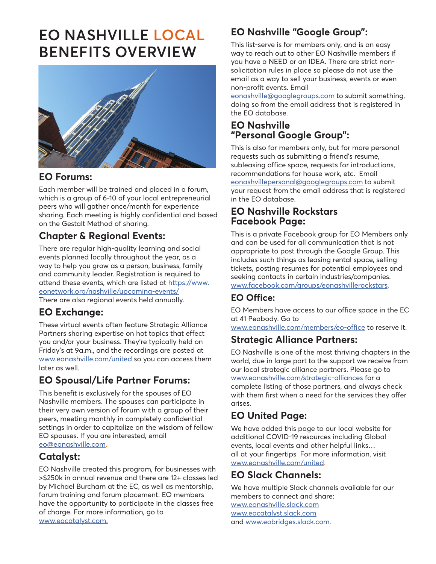# **EO NASHVILLE LOCAL BENEFITS OVERVIEW**



#### **EO Forums:**

Each member will be trained and placed in a forum, which is a group of 6-10 of your local entrepreneurial peers who will gather once/month for experience sharing. Each meeting is highly confidential and based on the Gestalt Method of sharing.

## **Chapter & Regional Events:**

There are regular high-quality learning and social events planned locally throughout the year, as a way to help you grow as a person, business, family and community leader. Registration is required to attend these events, which are listed at [https://www.](https://www.eonetwork.org/nashville/upcoming-events/) [eonetwork.org/nashville/upcoming-events/](https://www.eonetwork.org/nashville/upcoming-events/) There are also regional events held annually.

#### **EO Exchange:**

These virtual events often feature Strategic Alliance Partners sharing expertise on hot topics that effect you and/or your business. They're typically held on Friday's at 9a.m., and the recordings are posted at [www.eonashville.com/united](http://www.eonashville.com/united) so you can access them later as well.

## **EO Spousal/Life Partner Forums:**

This benefit is exclusively for the spouses of EO Nashville members. The spouses can participate in their very own version of forum with a group of their peers, meeting monthly in completely confidential settings in order to capitalize on the wisdom of fellow EO spouses. If you are interested, email

[eo@eonashville.com](http://www.eo@eonashville.com).

#### **Catalyst:**

EO Nashville created this program, for businesses with >\$250k in annual revenue and there are 12+ classes led by Michael Burcham at the EC, as well as mentorship, forum training and forum placement. EO members have the opportunity to participate in the classes free of charge. For more information, go to [www.eocatalyst.com.](http://www.eocatalyst.com)

# **EO Nashville "Google Group":**

This list-serve is for members only, and is an easy way to reach out to other EO Nashville members if you have a NEED or an IDEA. There are strict nonsolicitation rules in place so please do not use the email as a way to sell your business, events or even non-profit events. Email

[eonashville@googlegroups.com](http://www.eonashville@googlegroups.com) to submit something, doing so from the email address that is registered in the EO database.

#### **EO Nashville "Personal Google Group":**

This is also for members only, but for more personal requests such as submitting a friend's resume, subleasing office space, requests for introductions, recommendations for house work, etc. Email [eonashvillepersonal@googlegroups.com](http://www.eonashvillepersonal@googlegroups.com) to submit your request from the email address that is registered in the EO database.

#### **EO Nashville Rockstars Facebook Page:**

This is a private Facebook group for EO Members only and can be used for all communication that is not appropriate to post through the Google Group. This includes such things as leasing rental space, selling tickets, posting resumes for potential employees and seeking contacts in certain industries/companies. [www.facebook.com/groups/eonashvillerockstars.](http://www.facebook.com/groups/eonashvillerockstars)

#### **EO Office:**

EO Members have access to our office space in the EC at 41 Peabody. Go to

[www.eonashville.com/members/eo-office](http://www.eonashville.com/members/eo-office) to reserve it.

#### **Strategic Alliance Partners:**

EO Nashville is one of the most thriving chapters in the world, due in large part to the support we receive from our local strategic alliance partners. Please go to [www.eonashville.com/strategic-alliances](http://www.eonashville.com/strategic-alliance) for a complete listing of those partners, and always check with them first when a need for the services they offer arises.

# **EO United Page:**

We have added this page to our local website for additional COVID-19 resources including Global events, local events and other helpful links… all at your fingertips For more information, visit [www.eonashville.com/united](http://www.eonashville.com/united).

## **EO Slack Channels:**

We have multiple Slack channels available for our members to connect and share: [www.eonashville.slack.com](http://www.eonashville.slack.com) [www.eocatalyst.slack.com](http://www.eocatalyst.slack.com) and [www.eobridges.slack.com](http://http://www.eocatalyst.com).